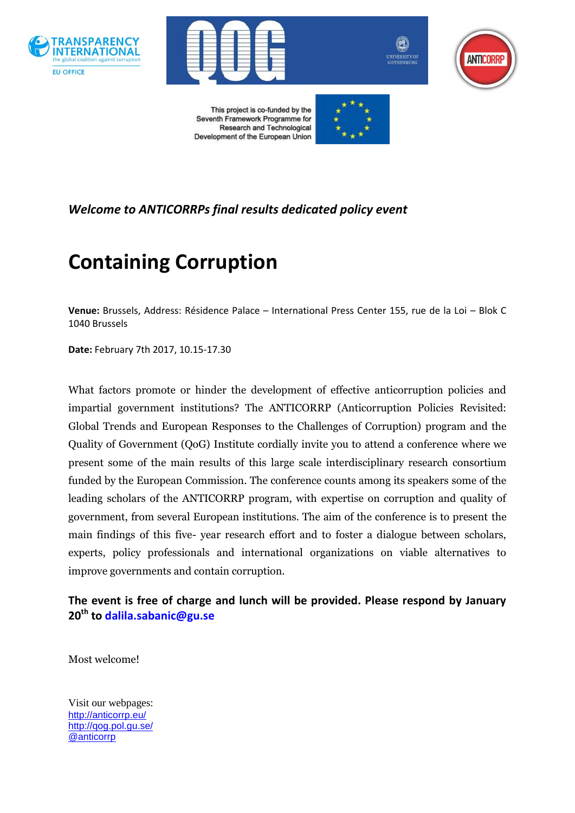







This project is co-funded by the Seventh Framework Programme for Research and Technological Development of the European Union



*Welcome to ANTICORRPs final results dedicated policy event*

# **Containing Corruption**

**Venue:** Brussels, Address: Résidence Palace – International Press Center 155, rue de la Loi – Blok C 1040 Brussels

**Date:** February 7th 2017, 10.15-17.30

What factors promote or hinder the development of effective anticorruption policies and impartial government institutions? The ANTICORRP (Anticorruption Policies Revisited: Global Trends and European Responses to the Challenges of Corruption) program and the Quality of Government (QoG) Institute cordially invite you to attend a conference where we present some of the main results of this large scale interdisciplinary research consortium funded by the European Commission. The conference counts among its speakers some of the leading scholars of the ANTICORRP program, with expertise on corruption and quality of government, from several European institutions. The aim of the conference is to present the main findings of this five- year research effort and to foster a dialogue between scholars, experts, policy professionals and international organizations on viable alternatives to improve governments and contain corruption.

**The event is free of charge and lunch will be provided. Please respond by January 20th to [dalila.sabanic@gu.se](mailto:dalila.sabanic@gu.se)**

Most welcome!

Visit our webpages: <http://anticorrp.eu/> <http://qog.pol.gu.se/> [@anticorrp](https://twitter.com/ANTICORRP)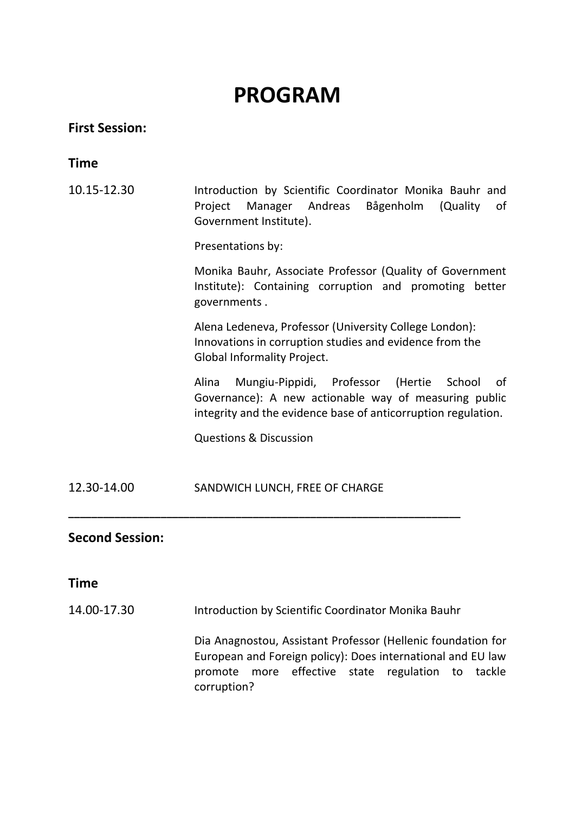# **PROGRAM**

## **First Session:**

## **Time**

10.15-12.30 Introduction by Scientific Coordinator Monika Bauhr and Project Manager Andreas Bågenholm (Quality of Government Institute).

Presentations by:

Monika Bauhr, Associate Professor (Quality of Government Institute): Containing corruption and promoting better governments .

Alena Ledeneva, Professor (University College London): Innovations in corruption studies and evidence from the Global Informality Project.

Alina Mungiu-Pippidi, Professor (Hertie School of Governance): A new actionable way of measuring public integrity and the evidence base of anticorruption regulation.

Questions & Discussion

12.30-14.00 SANDWICH LUNCH, FREE OF CHARGE

#### **Second Session:**

#### **Time**

14.00-17.30 Introduction by Scientific Coordinator Monika Bauhr

**\_\_\_\_\_\_\_\_\_\_\_\_\_\_\_\_\_\_\_\_\_\_\_\_\_\_\_\_\_\_\_\_\_\_\_\_\_\_\_\_\_\_\_\_\_\_\_\_\_\_\_\_\_\_\_\_\_\_\_\_\_\_\_\_\_\_\_\_**

Dia Anagnostou, Assistant Professor (Hellenic foundation for European and Foreign policy): Does international and EU law promote more effective state regulation to tackle corruption?